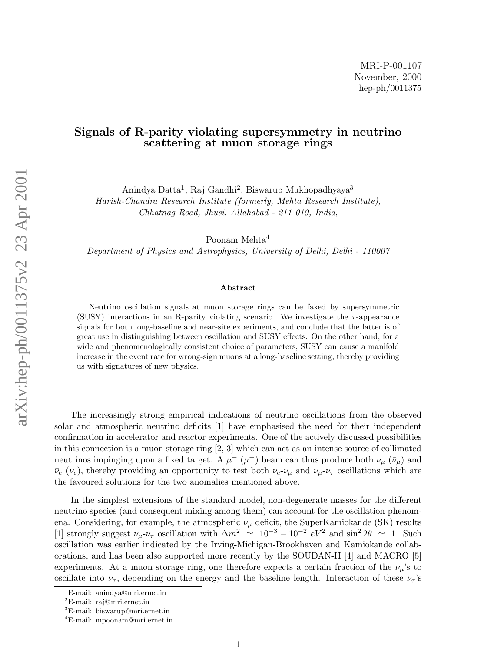## Signals of R-parity violating supersymmetry in neutrino scattering at muon storage rings

Anindya Datta<sup>1</sup>, Raj Gandhi<sup>2</sup>, Biswarup Mukhopadhyaya<sup>3</sup>

Harish-Chandra Research Institute (formerly, Mehta Research Institute), Chhatnag Road, Jhusi, Allahabad - 211 019, India ,

Poonam Mehta<sup>4</sup>

Department of Physics and Astrophysics, University of Delhi, Delhi - 110007

## Abstract

Neutrino oscillation signals at muon storage rings can be faked by supersymmetric (SUSY) interactions in an R-parity violating scenario. We investigate the  $\tau$ -appearance signals for both long-baseline and near-site experiments, and conclude that the latter is of great use in distinguishing between oscillation and SUSY effects. On the other hand, for a wide and phenomenologically consistent choice of parameters, SUSY can cause a manifold increase in the event rate for wrong-sign muons at a long-baseline setting, thereby providing us with signatures of new physics.

The increasingly strong empirical indications of neutrino oscillations from the observed solar and atmospheric neutrino deficits [1] have emphasised the need for their independent confirmation in accelerator and reactor experiments. One of the actively discussed possibilities in this connection is a muon storage ring [2, 3] which can act as an intense source of collimated neutrinos impinging upon a fixed target. A  $\mu^-$  ( $\mu^+$ ) beam can thus produce both  $\nu_\mu$  ( $\bar{\nu}_\mu$ ) and  $\bar{\nu}_e$  ( $\nu_e$ ), thereby providing an opportunity to test both  $\nu_e$ - $\nu_\mu$  and  $\nu_\mu$ - $\nu_\tau$  oscillations which are the favoured solutions for the two anomalies mentioned above.

In the simplest extensions of the standard model, non-degenerate masses for the different neutrino species (and consequent mixing among them) can account for the oscillation phenomena. Considering, for example, the atmospheric  $\nu_{\mu}$  deficit, the SuperKamiokande (SK) results [1] strongly suggest  $\nu_\mu$ - $\nu_\tau$  oscillation with  $\Delta m^2 \simeq 10^{-3} - 10^{-2} eV^2$  and  $\sin^2 2\theta \simeq 1$ . Such oscillation was earlier indicated by the Irving-Michigan-Brookhaven and Kamiokande collaborations, and has been also supported more recently by the SOUDAN-II [4] and MACRO [5] experiments. At a muon storage ring, one therefore expects a certain fraction of the  $\nu_\mu$ 's to oscillate into  $\nu_{\tau}$ , depending on the energy and the baseline length. Interaction of these  $\nu_{\tau}$ 's

<sup>&</sup>lt;sup>1</sup>E-mail: anindya@mri.ernet.in <sup>2</sup>E-mail: raj@mri.ernet.in 3E-mail: biswarup@mri.ernet.in 4E-mail: mpoonam@mri.ernet.in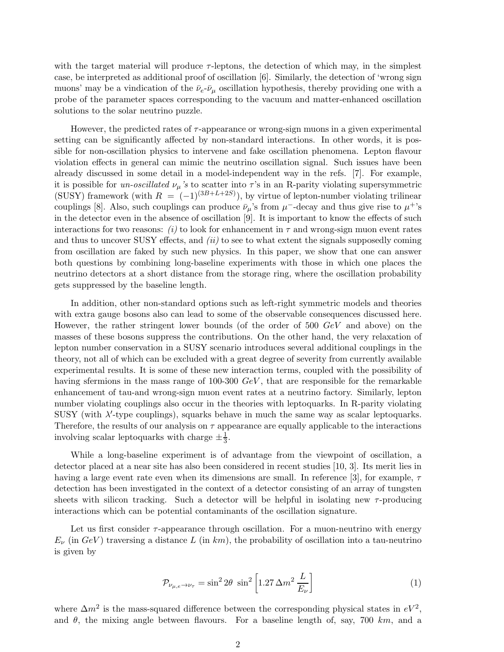with the target material will produce  $\tau$ -leptons, the detection of which may, in the simplest case, be interpreted as additional proof of oscillation [6]. Similarly, the detection of 'wrong sign muons' may be a vindication of the  $\bar{\nu}_e$ - $\bar{\nu}_\mu$  oscillation hypothesis, thereby providing one with a probe of the parameter spaces corresponding to the vacuum and matter-enhanced oscillation solutions to the solar neutrino puzzle.

However, the predicted rates of  $\tau$ -appearance or wrong-sign muons in a given experimental setting can be significantly affected by non-standard interactions. In other words, it is possible for non-oscillation physics to intervene and fake oscillation phenomena. Lepton flavour violation effects in general can mimic the neutrino oscillation signal. Such issues have been already discussed in some detail in a model-independent way in the refs. [7]. For example, it is possible for un-oscillated  $\nu_{\mu}$ 's to scatter into  $\tau$ 's in an R-parity violating supersymmetric (SUSY) framework (with  $R = (-1)^{(3B+L+2S)}$ ), by virtue of lepton-number violating trilinear couplings [8]. Also, such couplings can produce  $\bar{\nu}_{\mu}$ 's from  $\mu^-$ -decay and thus give rise to  $\mu^+$ 's in the detector even in the absence of oscillation [9]. It is important to know the effects of such interactions for two reasons: (i) to look for enhancement in  $\tau$  and wrong-sign muon event rates and thus to uncover SUSY effects, and  $(ii)$  to see to what extent the signals supposedly coming from oscillation are faked by such new physics. In this paper, we show that one can answer both questions by combining long-baseline experiments with those in which one places the neutrino detectors at a short distance from the storage ring, where the oscillation probability gets suppressed by the baseline length.

In addition, other non-standard options such as left-right symmetric models and theories with extra gauge bosons also can lead to some of the observable consequences discussed here. However, the rather stringent lower bounds (of the order of 500 GeV and above) on the masses of these bosons suppress the contributions. On the other hand, the very relaxation of lepton number conservation in a SUSY scenario introduces several additional couplings in the theory, not all of which can be excluded with a great degree of severity from currently available experimental results. It is some of these new interaction terms, coupled with the possibility of having sfermions in the mass range of  $100-300 \text{ GeV}$ , that are responsible for the remarkable enhancement of tau-and wrong-sign muon event rates at a neutrino factory. Similarly, lepton number violating couplings also occur in the theories with leptoquarks. In R-parity violating SUSY (with  $\lambda'$ -type couplings), squarks behave in much the same way as scalar leptoquarks. Therefore, the results of our analysis on  $\tau$  appearance are equally applicable to the interactions involving scalar leptoquarks with charge  $\pm \frac{1}{3}$ .

While a long-baseline experiment is of advantage from the viewpoint of oscillation, a detector placed at a near site has also been considered in recent studies [10, 3]. Its merit lies in having a large event rate even when its dimensions are small. In reference [3], for example,  $\tau$ detection has been investigated in the context of a detector consisting of an array of tungsten sheets with silicon tracking. Such a detector will be helpful in isolating new  $\tau$ -producing interactions which can be potential contaminants of the oscillation signature.

Let us first consider  $\tau$ -appearance through oscillation. For a muon-neutrino with energy  $E_{\nu}$  (in  $GeV$ ) traversing a distance L (in km), the probability of oscillation into a tau-neutrino is given by

$$
\mathcal{P}_{\nu_{\mu,e}\to\nu_{\tau}} = \sin^2 2\theta \sin^2 \left[1.27 \Delta m^2 \frac{L}{E_{\nu}}\right]
$$
\n(1)

where  $\Delta m^2$  is the mass-squared difference between the corresponding physical states in  $eV^2$ , and  $\theta$ , the mixing angle between flavours. For a baseline length of, say, 700 km, and a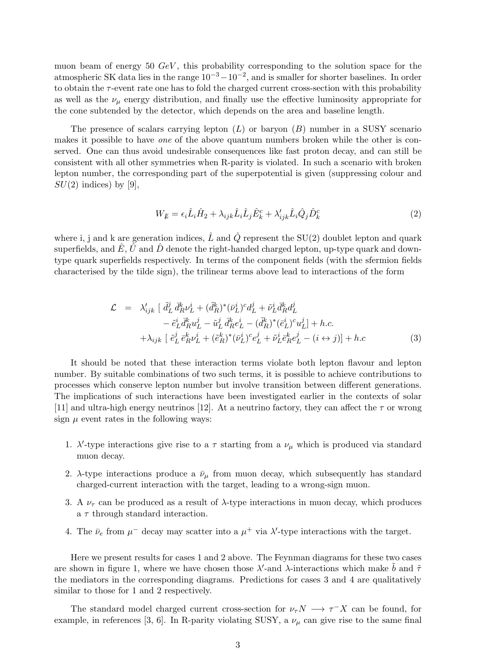muon beam of energy 50  $GeV$ , this probability corresponding to the solution space for the atmospheric SK data lies in the range  $10^{-3} - 10^{-2}$ , and is smaller for shorter baselines. In order to obtain the  $\tau$ -event rate one has to fold the charged current cross-section with this probability as well as the  $\nu_{\mu}$  energy distribution, and finally use the effective luminosity appropriate for the cone subtended by the detector, which depends on the area and baseline length.

The presence of scalars carrying lepton  $(L)$  or baryon  $(B)$  number in a SUSY scenario makes it possible to have one of the above quantum numbers broken while the other is conserved. One can thus avoid undesirable consequences like fast proton decay, and can still be consistent with all other symmetries when R-parity is violated. In such a scenario with broken lepton number, the corresponding part of the superpotential is given (suppressing colour and  $SU(2)$  indices) by [9],

$$
W_{\not L} = \epsilon_i \hat{L}_i \hat{H}_2 + \lambda_{ijk} \hat{L}_i \hat{L}_j \hat{E}_k^c + \lambda'_{ijk} \hat{L}_i \hat{Q}_j \hat{D}_k^c \tag{2}
$$

where i, j and k are generation indices,  $\hat{L}$  and  $\hat{Q}$  represent the SU(2) doublet lepton and quark superfields, and  $\hat{E}$ ,  $\hat{U}$  and  $\hat{D}$  denote the right-handed charged lepton, up-type quark and downtype quark superfields respectively. In terms of the component fields (with the sfermion fields characterised by the tilde sign), the trilinear terms above lead to interactions of the form

$$
\mathcal{L} = \lambda'_{ijk} \left[ \tilde{d}_L^j \bar{d}_R^k \nu_L^i + (\tilde{d}_R^k)^* (\bar{\nu}_L^i)^c d_L^j + \tilde{\nu}_L^i \bar{d}_R^k d_L^j \right] \n- \tilde{e}_L^i \bar{d}_R^k u_L^j - \tilde{u}_L^j \bar{d}_R^k e_L^i - (\tilde{d}_R^k)^* (\bar{e}_L^i)^c u_L^j \right] + h.c. \n+ \lambda_{ijk} \left[ \tilde{e}_L^j \bar{e}_R^k \nu_L^i + (\tilde{e}_R^k)^* (\bar{\nu}_L^i)^c e_L^j + \tilde{\nu}_L^i \bar{e}_R^k e_L^j - (i \leftrightarrow j) \right] + h.c.
$$
\n(3)

It should be noted that these interaction terms violate both lepton flavour and lepton number. By suitable combinations of two such terms, it is possible to achieve contributions to processes which conserve lepton number but involve transition between different generations. The implications of such interactions have been investigated earlier in the contexts of solar [11] and ultra-high energy neutrinos [12]. At a neutrino factory, they can affect the  $\tau$  or wrong sign  $\mu$  event rates in the following ways:

- 1.  $\lambda'$ -type interactions give rise to a  $\tau$  starting from a  $\nu_{\mu}$  which is produced via standard muon decay.
- 2.  $\lambda$ -type interactions produce a  $\bar{\nu}_{\mu}$  from muon decay, which subsequently has standard charged-current interaction with the target, leading to a wrong-sign muon.
- 3. A  $\nu_{\tau}$  can be produced as a result of  $\lambda$ -type interactions in muon decay, which produces a  $\tau$  through standard interaction.
- 4. The  $\bar{\nu}_e$  from  $\mu^-$  decay may scatter into a  $\mu^+$  via  $\lambda'$ -type interactions with the target.

Here we present results for cases 1 and 2 above. The Feynman diagrams for these two cases are shown in figure 1, where we have chosen those  $\lambda'$ -and  $\lambda$ -interactions which make  $\tilde{b}$  and  $\tilde{\tau}$ the mediators in the corresponding diagrams. Predictions for cases 3 and 4 are qualitatively similar to those for 1 and 2 respectively.

The standard model charged current cross-section for  $\nu_{\tau} N \longrightarrow \tau^{-} X$  can be found, for example, in references [3, 6]. In R-parity violating SUSY, a  $\nu_{\mu}$  can give rise to the same final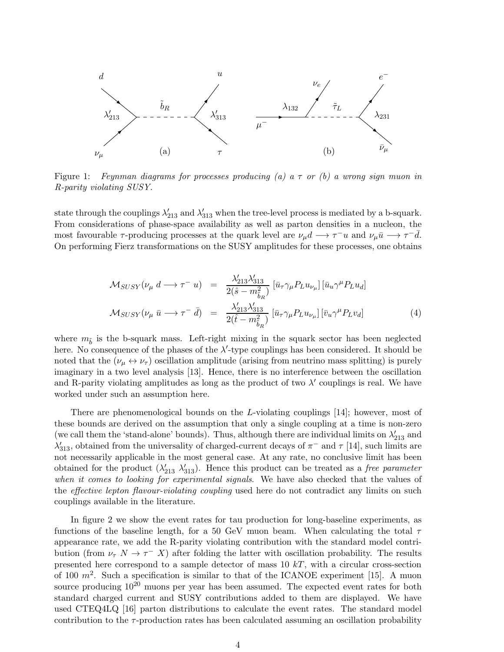

Figure 1: Feynman diagrams for processes producing (a) a  $\tau$  or (b) a wrong sign muon in R-parity violating SUSY.

state through the couplings  $\lambda'_{213}$  and  $\lambda'_{313}$  when the tree-level process is mediated by a b-squark. From considerations of phase-space availability as well as parton densities in a nucleon, the most favourable  $\tau$ -producing processes at the quark level are  $\nu_\mu d \to \tau^- u$  and  $\nu_\mu \bar{u} \to \tau^- \bar{d}$ . On performing Fierz transformations on the SUSY amplitudes for these processes, one obtains

$$
\mathcal{M}_{SUSY}(\nu_{\mu} d \longrightarrow \tau^{-} u) = \frac{\lambda'_{213} \lambda'_{313}}{2(\hat{s} - m_{\tilde{b}_R}^2)} [\bar{u}_{\tau} \gamma_{\mu} P_L u_{\nu_{\mu}}] [\bar{u}_{u} \gamma^{\mu} P_L u_{d}]
$$
  

$$
\mathcal{M}_{SUSY}(\nu_{\mu} \bar{u} \longrightarrow \tau^{-} \bar{d}) = \frac{\lambda'_{213} \lambda'_{313}}{2(\hat{t} - m_{\tilde{b}_R}^2)} [\bar{u}_{\tau} \gamma_{\mu} P_L u_{\nu_{\mu}}] [\bar{v}_{u} \gamma^{\mu} P_L v_{d}]
$$
(4)

where  $m_{\tilde{b}}$  is the b-squark mass. Left-right mixing in the squark sector has been neglected here. No consequence of the phases of the  $\lambda'$ -type couplings has been considered. It should be noted that the  $(\nu_{\mu} \leftrightarrow \nu_{\tau})$  oscillation amplitude (arising from neutrino mass splitting) is purely imaginary in a two level analysis [13]. Hence, there is no interference between the oscillation and R-parity violating amplitudes as long as the product of two  $\lambda'$  couplings is real. We have worked under such an assumption here.

There are phenomenological bounds on the L-violating couplings [14]; however, most of these bounds are derived on the assumption that only a single coupling at a time is non-zero (we call them the 'stand-alone' bounds). Thus, although there are individual limits on  $\lambda'_{213}$  and  $\lambda'_{313}$ , obtained from the universality of charged-current decays of  $\pi^-$  and  $\tau$  [14], such limits are not necessarily applicable in the most general case. At any rate, no conclusive limit has been obtained for the product  $(\lambda'_{213} \lambda'_{313})$ . Hence this product can be treated as a *free parameter* when it comes to looking for experimental signals. We have also checked that the values of the effective lepton flavour-violating coupling used here do not contradict any limits on such couplings available in the literature.

In figure 2 we show the event rates for tau production for long-baseline experiments, as functions of the baseline length, for a 50 GeV muon beam. When calculating the total  $\tau$ appearance rate, we add the R-parity violating contribution with the standard model contribution (from  $\nu_{\tau} N \to \tau^- X$ ) after folding the latter with oscillation probability. The results presented here correspond to a sample detector of mass  $10 \; kT$ , with a circular cross-section of 100  $m^2$ . Such a specification is similar to that of the ICANOE experiment [15]. A muon source producing  $10^{20}$  muons per year has been assumed. The expected event rates for both standard charged current and SUSY contributions added to them are displayed. We have used CTEQ4LQ [16] parton distributions to calculate the event rates. The standard model contribution to the  $\tau$ -production rates has been calculated assuming an oscillation probability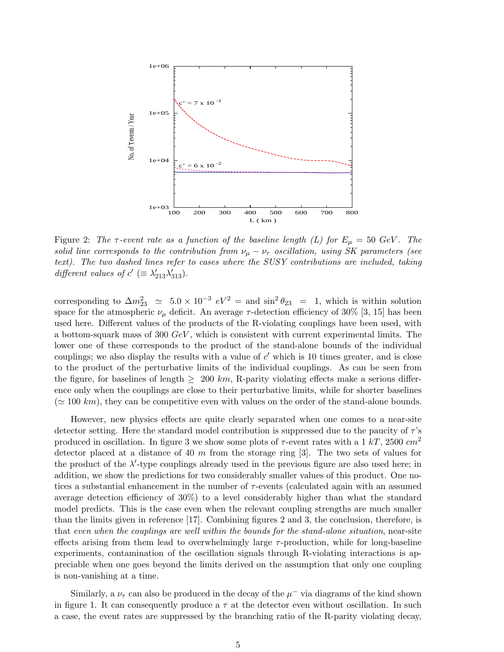

Figure 2: The  $\tau$ -event rate as a function of the baseline length (L) for  $E_{\mu} = 50 \text{ GeV}$ . The solid line corresponds to the contribution from  $\nu_{\mu} - \nu_{\tau}$  oscillation, using SK parameters (see text). The two dashed lines refer to cases where the SUSY contributions are included, taking different values of  $c' \equiv \lambda'_{213} \lambda'_{313}$ .

corresponding to  $\Delta m_{23}^2 \simeq 5.0 \times 10^{-3} eV^2 =$  and  $\sin^2 \theta_{23} = 1$ , which is within solution space for the atmospheric  $\nu_{\mu}$  deficit. An average  $\tau$ -detection efficiency of 30% [3, 15] has been used here. Different values of the products of the R-violating couplings have been used, with a bottom-squark mass of 300  $GeV$ , which is consistent with current experimental limits. The lower one of these corresponds to the product of the stand-alone bounds of the individual couplings; we also display the results with a value of  $c'$  which is 10 times greater, and is close to the product of the perturbative limits of the individual couplings. As can be seen from the figure, for baselines of length  $\geq 200 \; km$ , R-parity violating effects make a serious difference only when the couplings are close to their perturbative limits, while for shorter baselines  $(\simeq 100 \; km)$ , they can be competitive even with values on the order of the stand-alone bounds.

However, new physics effects are quite clearly separated when one comes to a near-site detector setting. Here the standard model contribution is suppressed due to the paucity of  $\tau$ 's produced in oscillation. In figure 3 we show some plots of  $\tau$ -event rates with a 1 kT, 2500 cm<sup>2</sup> detector placed at a distance of 40  $m$  from the storage ring [3]. The two sets of values for the product of the  $\lambda'$ -type couplings already used in the previous figure are also used here; in addition, we show the predictions for two considerably smaller values of this product. One notices a substantial enhancement in the number of  $\tau$ -events (calculated again with an assumed average detection efficiency of 30%) to a level considerably higher than what the standard model predicts. This is the case even when the relevant coupling strengths are much smaller than the limits given in reference [17]. Combining figures 2 and 3, the conclusion, therefore, is that even when the couplings are well within the bounds for the stand-alone situation, near-site effects arising from them lead to overwhelmingly large  $\tau$ -production, while for long-baseline experiments, contamination of the oscillation signals through R-violating interactions is appreciable when one goes beyond the limits derived on the assumption that only one coupling is non-vanishing at a time.

Similarly, a  $\nu_{\tau}$  can also be produced in the decay of the  $\mu^{-}$  via diagrams of the kind shown in figure 1. It can consequently produce a  $\tau$  at the detector even without oscillation. In such a case, the event rates are suppressed by the branching ratio of the R-parity violating decay,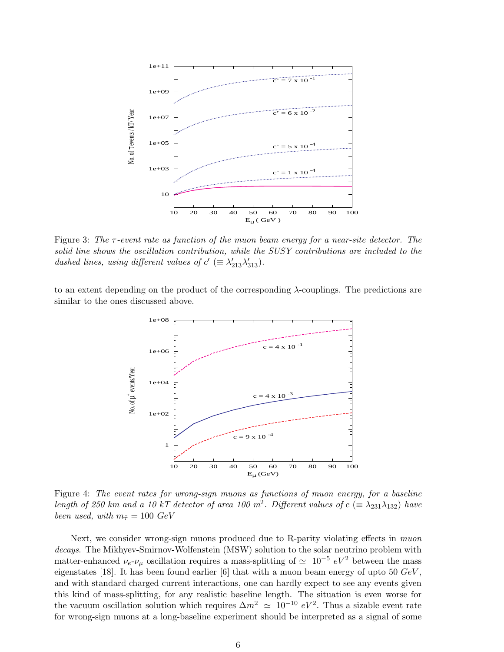

Figure 3: The  $\tau$ -event rate as function of the muon beam energy for a near-site detector. The solid line shows the oscillation contribution, while the SUSY contributions are included to the dashed lines, using different values of  $c' \equiv \lambda'_{213} \lambda'_{313}$ .

to an extent depending on the product of the corresponding  $\lambda$ -couplings. The predictions are similar to the ones discussed above.



Figure 4: The event rates for wrong-sign muons as functions of muon energy, for a baseline length of 250 km and a 10 kT detector of area 100 m<sup>2</sup>. Different values of  $c \ (\equiv \lambda_{231} \lambda_{132})$  have been used, with  $m_{\tilde{\tau}} = 100 \text{ GeV}$ 

Next, we consider wrong-sign muons produced due to R-parity violating effects in *muon* decays. The Mikhyev-Smirnov-Wolfenstein (MSW) solution to the solar neutrino problem with matter-enhanced  $\nu_e$ - $\nu_\mu$  oscillation requires a mass-splitting of  $\simeq$  10<sup>-5</sup> eV<sup>2</sup> between the mass eigenstates [18]. It has been found earlier [6] that with a muon beam energy of upto 50  $GeV$ , and with standard charged current interactions, one can hardly expect to see any events given this kind of mass-splitting, for any realistic baseline length. The situation is even worse for the vacuum oscillation solution which requires  $\Delta m^2 \simeq 10^{-10} eV^2$ . Thus a sizable event rate for wrong-sign muons at a long-baseline experiment should be interpreted as a signal of some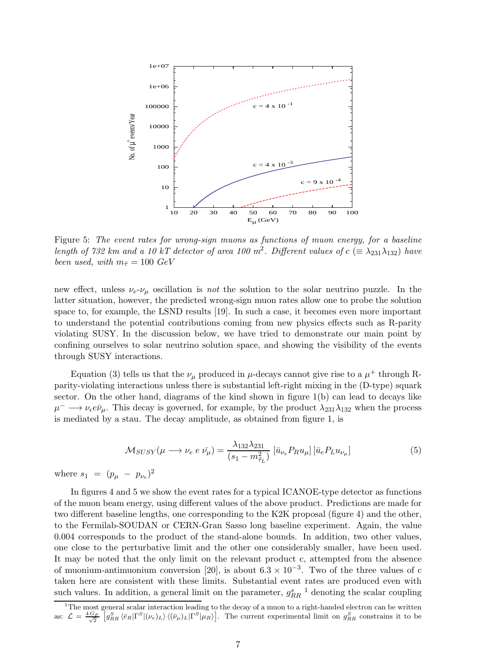

Figure 5: The event rates for wrong-sign muons as functions of muon energy, for a baseline length of 732 km and a 10 kT detector of area 100 m<sup>2</sup>. Different values of  $c \ (\equiv \lambda_{231} \lambda_{132})$  have been used, with  $m_{\tilde{\tau}} = 100 \text{ GeV}$ 

new effect, unless  $\nu_e$ - $\nu_\mu$  oscillation is not the solution to the solar neutrino puzzle. In the latter situation, however, the predicted wrong-sign muon rates allow one to probe the solution space to, for example, the LSND results [19]. In such a case, it becomes even more important to understand the potential contributions coming from new physics effects such as R-parity violating SUSY. In the discussion below, we have tried to demonstrate our main point by confining ourselves to solar neutrino solution space, and showing the visibility of the events through SUSY interactions.

Equation (3) tells us that the  $\nu_{\mu}$  produced in  $\mu$ -decays cannot give rise to a  $\mu^{+}$  through Rparity-violating interactions unless there is substantial left-right mixing in the (D-type) squark sector. On the other hand, diagrams of the kind shown in figure 1(b) can lead to decays like  $\mu^- \longrightarrow \nu_{\epsilon} e \bar{\nu}_{\mu}$ . This decay is governed, for example, by the product  $\lambda_{231} \lambda_{132}$  when the process is mediated by a stau. The decay amplitude, as obtained from figure 1, is

$$
\mathcal{M}_{SUSY}(\mu \longrightarrow \nu_e \ e \ \bar{\nu_{\mu}}) = \frac{\lambda_{132} \lambda_{231}}{(s_1 - m_{\tilde{\tau}_L})} \left[ \bar{u}_{\nu_e} P_R u_{\mu} \right] \left[ \bar{u}_e P_L u_{\nu_{\mu}} \right] \tag{5}
$$

where  $s_1 = (p_\mu - p_{\nu_e})^2$ 

In figures 4 and 5 we show the event rates for a typical ICANOE-type detector as functions of the muon beam energy, using different values of the above product. Predictions are made for two different baseline lengths, one corresponding to the K2K proposal (figure 4) and the other, to the Fermilab-SOUDAN or CERN-Gran Sasso long baseline experiment. Again, the value 0.004 corresponds to the product of the stand-alone bounds. In addition, two other values, one close to the perturbative limit and the other one considerably smaller, have been used. It may be noted that the only limit on the relevant product c, attempted from the absence of muonium-antimuonium conversion [20], is about  $6.3 \times 10^{-3}$ . Two of the three values of c taken here are consistent with these limits. Substantial event rates are produced even with such values. In addition, a general limit on the parameter,  $g_{RR}^{s}$ <sup>1</sup> denoting the scalar coupling

<sup>&</sup>lt;sup>1</sup>The most general scalar interaction leading to the decay of a muon to a right-handed electron can be written as:  $\mathcal{L} = \frac{4}{3}$  $\frac{G_F}{\sqrt{2}} \left[ g_{RR}^S \langle \bar{e}_R | \Gamma^S | (\nu_e)_L \rangle \langle (\bar{\nu}_\mu)_L | \Gamma^S | \mu_R \rangle \right]$ . The current experimental limit on  $g_{RR}^S$  constrains it to be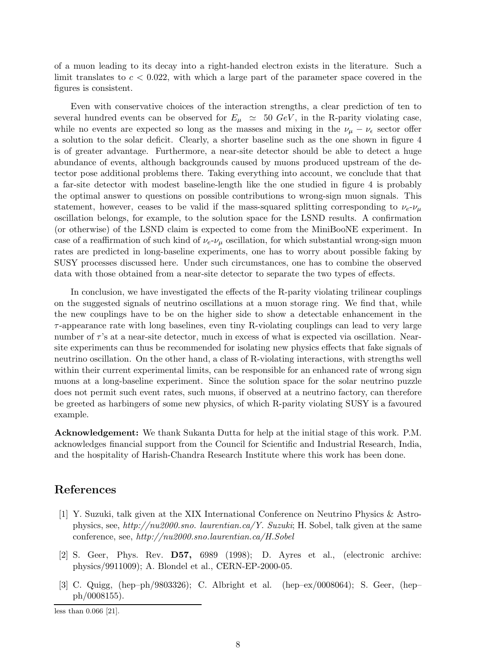of a muon leading to its decay into a right-handed electron exists in the literature. Such a limit translates to  $c < 0.022$ , with which a large part of the parameter space covered in the figures is consistent.

Even with conservative choices of the interaction strengths, a clear prediction of ten to several hundred events can be observed for  $E_{\mu} \simeq 50 \text{ GeV}$ , in the R-parity violating case, while no events are expected so long as the masses and mixing in the  $\nu_{\mu} - \nu_{\epsilon}$  sector offer a solution to the solar deficit. Clearly, a shorter baseline such as the one shown in figure 4 is of greater advantage. Furthermore, a near-site detector should be able to detect a huge abundance of events, although backgrounds caused by muons produced upstream of the detector pose additional problems there. Taking everything into account, we conclude that that a far-site detector with modest baseline-length like the one studied in figure 4 is probably the optimal answer to questions on possible contributions to wrong-sign muon signals. This statement, however, ceases to be valid if the mass-squared splitting corresponding to  $\nu_e$ - $\nu_\mu$ oscillation belongs, for example, to the solution space for the LSND results. A confirmation (or otherwise) of the LSND claim is expected to come from the MiniBooNE experiment. In case of a reaffirmation of such kind of  $\nu_e$ - $\nu_\mu$  oscillation, for which substantial wrong-sign muon rates are predicted in long-baseline experiments, one has to worry about possible faking by SUSY processes discussed here. Under such circumstances, one has to combine the observed data with those obtained from a near-site detector to separate the two types of effects.

In conclusion, we have investigated the effects of the R-parity violating trilinear couplings on the suggested signals of neutrino oscillations at a muon storage ring. We find that, while the new couplings have to be on the higher side to show a detectable enhancement in the  $\tau$ -appearance rate with long baselines, even tiny R-violating couplings can lead to very large number of  $\tau$ 's at a near-site detector, much in excess of what is expected via oscillation. Nearsite experiments can thus be recommended for isolating new physics effects that fake signals of neutrino oscillation. On the other hand, a class of R-violating interactions, with strengths well within their current experimental limits, can be responsible for an enhanced rate of wrong sign muons at a long-baseline experiment. Since the solution space for the solar neutrino puzzle does not permit such event rates, such muons, if observed at a neutrino factory, can therefore be greeted as harbingers of some new physics, of which R-parity violating SUSY is a favoured example.

Acknowledgement: We thank Sukanta Dutta for help at the initial stage of this work. P.M. acknowledges financial support from the Council for Scientific and Industrial Research, India, and the hospitality of Harish-Chandra Research Institute where this work has been done.

## References

- [1] Y. Suzuki, talk given at the XIX International Conference on Neutrino Physics & Astrophysics, see, http://nu2000.sno. laurentian.ca/Y. Suzuki; H. Sobel, talk given at the same conference, see, http://nu2000.sno.laurentian.ca/H.Sobel
- [2] S. Geer, Phys. Rev. D57, 6989 (1998); D. Ayres et al., (electronic archive: physics/9911009); A. Blondel et al., CERN-EP-2000-05.
- [3] C. Quigg, (hep–ph/9803326); C. Albright et al. (hep–ex/0008064); S. Geer, (hep– ph/0008155).

less than 0.066 [21].